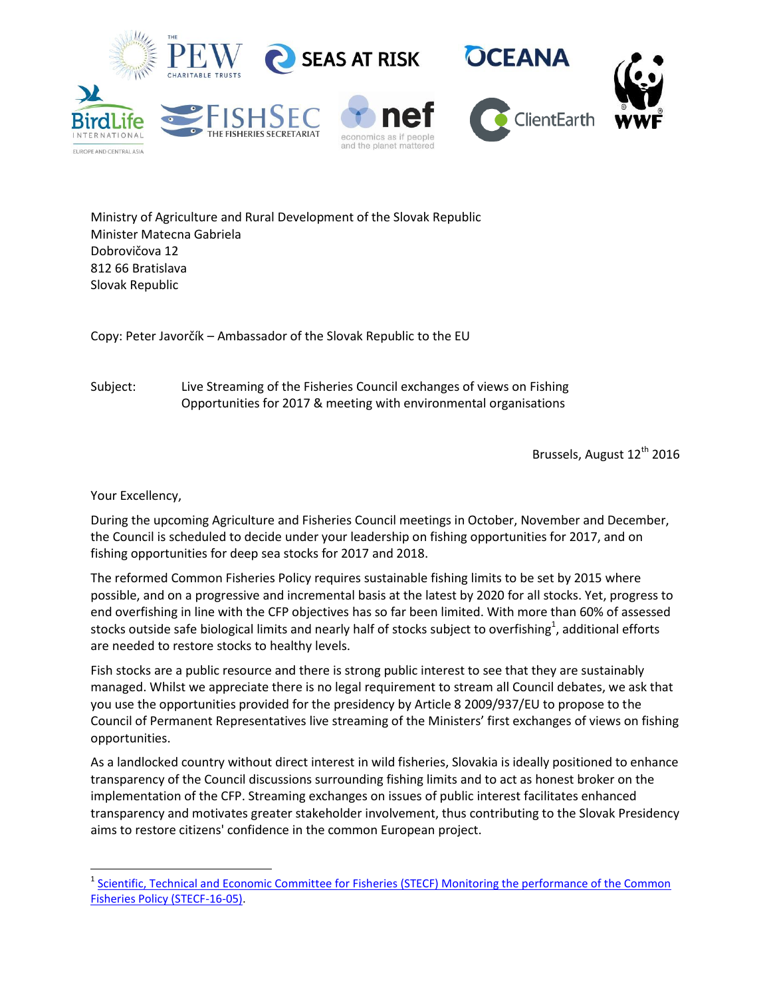

Ministry of Agriculture and Rural Development of the Slovak Republic Minister Matecna Gabriela Dobrovičova 12 812 66 Bratislava Slovak Republic

Copy: Peter Javorčík – Ambassador of the Slovak Republic to the EU

Subject: Live Streaming of the Fisheries Council exchanges of views on Fishing Opportunities for 2017 & meeting with environmental organisations

Brussels, August 12<sup>th</sup> 2016

Your Excellency,

l

During the upcoming Agriculture and Fisheries Council meetings in October, November and December, the Council is scheduled to decide under your leadership on fishing opportunities for 2017, and on fishing opportunities for deep sea stocks for 2017 and 2018.

The reformed Common Fisheries Policy requires sustainable fishing limits to be set by 2015 where possible, and on a progressive and incremental basis at the latest by 2020 for all stocks. Yet, progress to end overfishing in line with the CFP objectives has so far been limited. With more than 60% of assessed stocks outside safe biological limits and nearly half of stocks subject to overfishing $^1$ , additional efforts are needed to restore stocks to healthy levels.

Fish stocks are a public resource and there is strong public interest to see that they are sustainably managed. Whilst we appreciate there is no legal requirement to stream all Council debates, we ask that you use the opportunities provided for the presidency by Article 8 2009/937/EU to propose to the Council of Permanent Representatives live streaming of the Ministers' first exchanges of views on fishing opportunities.

As a landlocked country without direct interest in wild fisheries, Slovakia is ideally positioned to enhance transparency of the Council discussions surrounding fishing limits and to act as honest broker on the implementation of the CFP. Streaming exchanges on issues of public interest facilitates enhanced transparency and motivates greater stakeholder involvement, thus contributing to the Slovak Presidency aims to restore citizens' confidence in the common European project.

<sup>&</sup>lt;sup>1</sup> Scientific, Technical and Economic Committee for Fisheries (STECF) Monitoring the performance of the Common [Fisheries Policy \(STECF-16-05\).](https://stecf.jrc.ec.europa.eu/documents/43805/55543/2016-03_STECF+16-05+Monitoring+performance+CFP+CORRIGENDUM_JRCxxx.pdf)